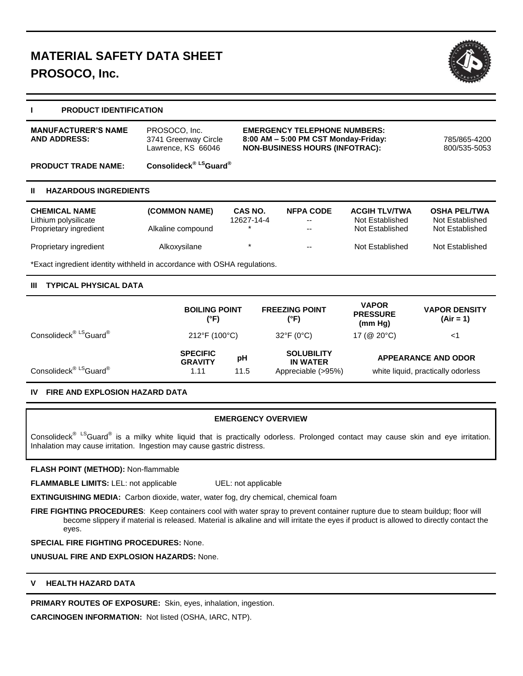

#### **I PRODUCT IDENTIFICATION**

| <b>PRODUCT TRADE NAME:</b> | Lawrence, KS 66046<br>Consolideck <sup>® LS</sup> Guard <sup>®</sup> | <b>NON-BUSINESS HOURS (INFOTRAC):</b> | 800/535-5053 |
|----------------------------|----------------------------------------------------------------------|---------------------------------------|--------------|
| <b>MANUFACTURER'S NAME</b> | PROSOCO, Inc.                                                        | <b>EMERGENCY TELEPHONE NUMBERS:</b>   | 785/865-4200 |
| <b>AND ADDRESS:</b>        | 3741 Greenway Circle                                                 | 8:00 AM - 5:00 PM CST Monday-Friday:  |              |

#### **II HAZARDOUS INGREDIENTS**

| <b>CHEMICAL NAME</b><br>Lithium polysilicate<br>Proprietary ingredient | (COMMON NAME)<br>Alkaline compound | <b>CAS NO.</b><br>12627-14-4 | <b>NFPA CODE</b><br>$- -$<br>$- -$ | <b>ACGIH TLV/TWA</b><br>Not Established<br>Not Established | <b>OSHA PEL/TWA</b><br>Not Established<br>Not Established |
|------------------------------------------------------------------------|------------------------------------|------------------------------|------------------------------------|------------------------------------------------------------|-----------------------------------------------------------|
| Proprietary ingredient                                                 | Alkoxysilane                       |                              | $- -$                              | Not Established                                            | Not Established                                           |

\*Exact ingredient identity withheld in accordance with OSHA regulations.

# **III TYPICAL PHYSICAL DATA**

|                                                | <b>BOILING POINT</b><br>(°F)              |            | <b>FREEZING POINT</b><br>(°F)                              | <b>VAPOR</b><br><b>PRESSURE</b><br>(mm Hg) | <b>VAPOR DENSITY</b><br>$(Air = 1)$                              |
|------------------------------------------------|-------------------------------------------|------------|------------------------------------------------------------|--------------------------------------------|------------------------------------------------------------------|
| Consolideck <sup>® LS</sup> Guard <sup>®</sup> | 212°F (100°C)                             |            | $32^{\circ}F(0^{\circ}C)$                                  | 17 ( $@$ 20 $°C$ )                         | $<$ 1                                                            |
| Consolideck <sup>® LS</sup> Guard <sup>®</sup> | <b>SPECIFIC</b><br><b>GRAVITY</b><br>1.11 | pH<br>11.5 | <b>SOLUBILITY</b><br><b>IN WATER</b><br>Appreciable (>95%) |                                            | <b>APPEARANCE AND ODOR</b><br>white liquid, practically odorless |

### **IV FIRE AND EXPLOSION HAZARD DATA**

### **EMERGENCY OVERVIEW**

Consolideck<sup>® LS</sup>Guard<sup>®</sup> is a milky white liquid that is practically odorless. Prolonged contact may cause skin and eye irritation. Inhalation may cause irritation. Ingestion may cause gastric distress.

# **FLASH POINT (METHOD):** Non-flammable

**FLAMMABLE LIMITS:** LEL: not applicable UEL: not applicable

**EXTINGUISHING MEDIA:** Carbon dioxide, water, water fog, dry chemical, chemical foam

FIRE FIGHTING PROCEDURES: Keep containers cool with water spray to prevent container rupture due to steam buildup; floor will become slippery if material is released. Material is alkaline and will irritate the eyes if product is allowed to directly contact the eyes.

# **SPECIAL FIRE FIGHTING PROCEDURES:** None.

**UNUSUAL FIRE AND EXPLOSION HAZARDS:** None.

# **V HEALTH HAZARD DATA**

**PRIMARY ROUTES OF EXPOSURE:** Skin, eyes, inhalation, ingestion.

**CARCINOGEN INFORMATION:** Not listed (OSHA, IARC, NTP).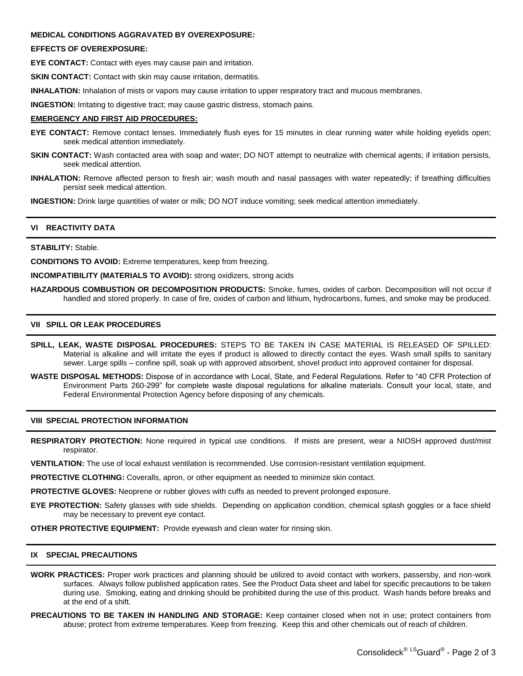#### **MEDICAL CONDITIONS AGGRAVATED BY OVEREXPOSURE:**

#### **EFFECTS OF OVEREXPOSURE:**

**EYE CONTACT:** Contact with eyes may cause pain and irritation.

**SKIN CONTACT:** Contact with skin may cause irritation, dermatitis.

**INHALATION:** Inhalation of mists or vapors may cause irritation to upper respiratory tract and mucous membranes.

**INGESTION:** Irritating to digestive tract; may cause gastric distress, stomach pains.

#### **EMERGENCY AND FIRST AID PROCEDURES:**

- **EYE CONTACT:** Remove contact lenses. Immediately flush eyes for 15 minutes in clear running water while holding eyelids open; seek medical attention immediately.
- **SKIN CONTACT:** Wash contacted area with soap and water; DO NOT attempt to neutralize with chemical agents; if irritation persists, seek medical attention.
- **INHALATION:** Remove affected person to fresh air; wash mouth and nasal passages with water repeatedly; if breathing difficulties persist seek medical attention.

**INGESTION:** Drink large quantities of water or milk; DO NOT induce vomiting; seek medical attention immediately.

### **VI REACTIVITY DATA**

### **STABILITY:** Stable.

**CONDITIONS TO AVOID:** Extreme temperatures, keep from freezing.

**INCOMPATIBILITY (MATERIALS TO AVOID):** strong oxidizers, strong acids

**HAZARDOUS COMBUSTION OR DECOMPOSITION PRODUCTS:** Smoke, fumes, oxides of carbon. Decomposition will not occur if handled and stored properly. In case of fire, oxides of carbon and lithium, hydrocarbons, fumes, and smoke may be produced.

# **VII SPILL OR LEAK PROCEDURES**

- **SPILL, LEAK, WASTE DISPOSAL PROCEDURES:** STEPS TO BE TAKEN IN CASE MATERIAL IS RELEASED OF SPILLED: Material is alkaline and will irritate the eyes if product is allowed to directly contact the eyes. Wash small spills to sanitary sewer. Large spills – confine spill, soak up with approved absorbent, shovel product into approved container for disposal.
- **WASTE DISPOSAL METHODS:** Dispose of in accordance with Local, State, and Federal Regulations. Refer to "40 CFR Protection of Environment Parts 260-299" for complete waste disposal regulations for alkaline materials. Consult your local, state, and Federal Environmental Protection Agency before disposing of any chemicals.

#### **VIII SPECIAL PROTECTION INFORMATION**

**RESPIRATORY PROTECTION:** None required in typical use conditions. If mists are present, wear a NIOSH approved dust/mist respirator.

**VENTILATION:** The use of local exhaust ventilation is recommended. Use corrosion-resistant ventilation equipment.

**PROTECTIVE CLOTHING:** Coveralls, apron, or other equipment as needed to minimize skin contact.

**PROTECTIVE GLOVES:** Neoprene or rubber gloves with cuffs as needed to prevent prolonged exposure.

**EYE PROTECTION:** Safety glasses with side shields. Depending on application condition, chemical splash goggles or a face shield may be necessary to prevent eye contact.

**OTHER PROTECTIVE EQUIPMENT:** Provide eyewash and clean water for rinsing skin.

#### **IX SPECIAL PRECAUTIONS**

- **WORK PRACTICES:** Proper work practices and planning should be utilized to avoid contact with workers, passersby, and non-work surfaces. Always follow published application rates. See the Product Data sheet and label for specific precautions to be taken during use. Smoking, eating and drinking should be prohibited during the use of this product. Wash hands before breaks and at the end of a shift.
- **PRECAUTIONS TO BE TAKEN IN HANDLING AND STORAGE:** Keep container closed when not in use; protect containers from abuse; protect from extreme temperatures. Keep from freezing. Keep this and other chemicals out of reach of children.